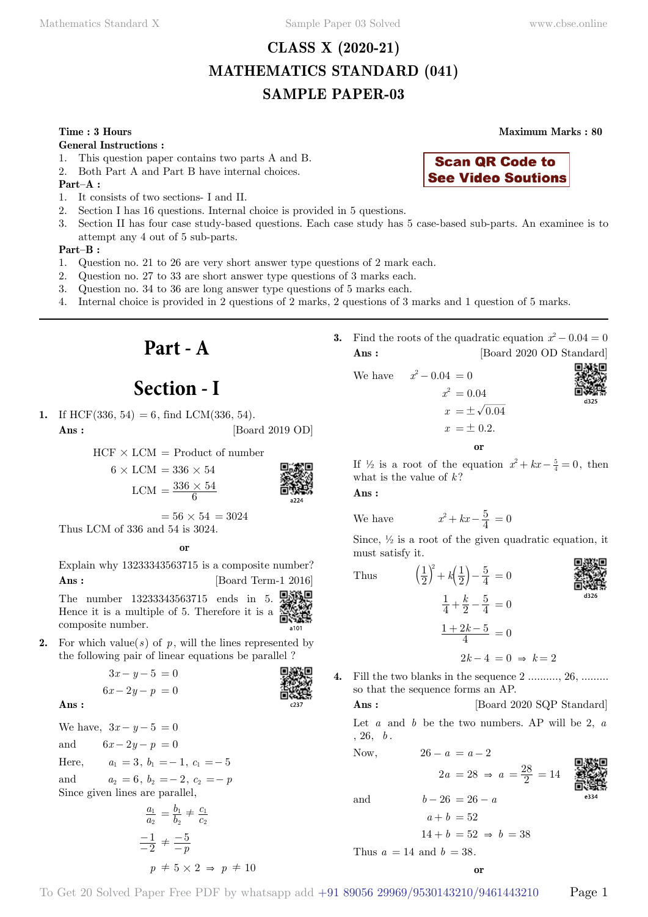# **CLASS X (2020-21) MATHEMATICS STANDARD (041) SAMPLE PAPER-03**

### **Time : 3 Hours Maximum Marks : 80**

### **General Instructions :**

- 1. This question paper contains two parts A and B.
- 2. Both Part A and Part B have internal choices.
- **Part–A :**
- 1. It consists of two sections- I and II.
- 2. Section I has 16 questions. Internal choice is provided in 5 questions.
- 3. Section II has four case study-based questions. Each case study has 5 case-based sub-parts. An examinee is to attempt any 4 out of 5 sub-parts.

### **Part–B :**

- 1. Question no. 21 to 26 are very short answer type questions of 2 mark each.
- 2. Question no. 27 to 33 are short answer type questions of 3 marks each.
- 3. Question no. 34 to 36 are long answer type questions of 5 marks each.
- 4. Internal choice is provided in 2 questions of 2 marks, 2 questions of 3 marks and 1 question of 5 marks.

**Part - A**

# **Section - I**

**1.** If HCF(336, 54) = 6, find LCM(336, 54). **Ans :** [Board 2019 OD]

 $HCF \times LCM = Product of number$ 

 $6 \times$  LCM = 336  $\times$  54 LCM  $=$   $\frac{336 \times 54}{6}$ 

$$
\begin{array}{c}\n\text{S/N} \\
\text{S/N} \\
\text{S/N} \\
\text{S/N} \\
\text{S/N} \\
\text{S/N} \\
\text{S/N} \\
\text{S/N} \\
\text{S/N} \\
\text{S/N} \\
\text{S/N} \\
\text{S/N} \\
\text{S/N} \\
\text{S/N} \\
\text{S/N} \\
\text{S/N} \\
\text{S/N} \\
\text{S/N} \\
\text{S/N} \\
\text{S/N} \\
\text{S/N} \\
\text{S/N} \\
\text{S/N} \\
\text{S/N} \\
\text{S/N} \\
\text{S/N} \\
\text{S/N} \\
\text{S/N} \\
\text{S/N} \\
\text{S/N} \\
\text{S/N} \\
\text{S/N} \\
\text{S/N} \\
\text{S/N} \\
\text{S/N} \\
\text{S/N} \\
\text{S/N} \\
\text{S/N} \\
\text{S/N} \\
\text{S/N} \\
\text{S/N} \\
\text{S/N} \\
\text{S/N} \\
\text{S/N} \\
\text{S/N} \\
\text{S/N} \\
\text{S/N} \\
\text{S/N} \\
\text{S/N} \\
\text{S/N} \\
\text{S/N} \\
\text{S/N} \\
\text{S/N} \\
\text{S/N} \\
\text{S/N} \\
\text{S/N} \\
\text{S/N} \\
\text{S/N} \\
\text{S/N} \\
\text{S/N} \\
\text{S/N} \\
\text{S/N} \\
\text{S/N} \\
\text{S/N} \\
\text{S/N} \\
\text{S/N} \\
\text{S/N} \\
\text{S/N} \\
\text{S/N} \\
\text{S/N} \\
\text{S/N} \\
\text{S/N} \\
\text{S/N} \\
\text{S/N} \\
\text{S/N} \\
\text{S/N} \\
\text{S/N} \\
\text{S/N} \\
\text{S/N} \\
\text{S/N} \\
\text{S/N} \\
\text{S/N} \\
\text{S/N} \\
\text{S/N} \\
\text{S/N} \\
\text{S/N} \\
\text{S/N} \\
\text{S/N} \\
\text{S/N} \\
\text{S/N} \\
\text{S/N} \\
\text{S/N} \\
\text{S/N} \\
\text{S/N} \\
\text{S/N} \\
\text{S/N} \\
\text{S/N} \\
\text{S/N} \\
\text{S/N} \\
\text{S/N} \\
\text{S/N} \\
\text{S/N} \\
\text{S/N} \\
\text{S/N} \\
\text{S/N} \\
\text{S/N} \\
\text{S/N} \\
\text{
$$

 $= 56 \times 54 = 3024$ Thus LCM of 336 and 54 is 3024.

### **o**

Explain why 13233343563715 is a composite number? **Ans :** [Board Term-1 2016]

The number 13233343563715 ends in 5. **鬼鹟** Hence it is a multiple of 5. Therefore it is a  $\frac{1}{\sqrt{2}}$ composite number.

**2.** For which value( $s$ ) of  $p$ , will the lines represented by the following pair of linear equations be parallel ?

> $3x - y - 5 = 0$  $6x - 2y - p = 0$

 **Ans :**

We have,  $3x - y - 5 = 0$ and  $6x - 2y - p = 0$ Here,  $a_1 = 3, b_1 = -1, c_1 = -5$ and  $a_2 = 6, b_2 = -2, c_2 = -p$ Since given lines are parallel, *a a* 2  $\frac{4}{2} = \frac{b}{b}$ *b c c*  $\overline{2}$  $\overline{1}$  $=\frac{b_1}{b_2}\neq \frac{c_1}{c_2}$ 1  $\frac{-1}{-2} \neq \frac{-5}{-p}$ -

2

 $p \neq 5 \times 2 \Rightarrow p \neq 10$ 

**3.** Find the roots of the quadratic equation  $x^2 - 0.04 = 0$ **Ans :** [Board 2020 OD Standard]

**Scan QR Code to See Video Soutions** 

We have  $x^2 - 0.04 = 0$  $x^2 = 0.04$ 

$$
\begin{array}{c}\n\text{DMS} \\
\text{MMS} \\
\text{MMS} \\
\text{DMS} \\
\text{DMS} \\
\text{DMS} \\
\text{DMS} \\
\text{DMS} \\
\text{DMS} \\
\text{DMS} \\
\text{DMS} \\
\text{DMS} \\
\text{DMS} \\
\text{DMS} \\
\text{DMS} \\
\text{DMS} \\
\text{DMS} \\
\text{DMS} \\
\text{DMS} \\
\text{DMS} \\
\text{DMS} \\
\text{DMS} \\
\text{DMS} \\
\text{DMS} \\
\text{DMS} \\
\text{DMS} \\
\text{DMS} \\
\text{DMS} \\
\text{DMS} \\
\text{DMS} \\
\text{DMS} \\
\text{DMS} \\
\text{DMS} \\
\text{DMS} \\
\text{DMS} \\
\text{DMS} \\
\text{DMS} \\
\text{DMS} \\
\text{DMS} \\
\text{DMS} \\
\text{DMS} \\
\text{DMS} \\
\text{DMS} \\
\text{DMS} \\
\text{DMS} \\
\text{DMS} \\
\text{DMS} \\
\text{DMS} \\
\text{DMS} \\
\text{DMS} \\
\text{DMS} \\
\text{DMS} \\
\text{DMS} \\
\text{DMS} \\
\text{DMS} \\
\text{DMS} \\
\text{DMS} \\
\text{DMS} \\
\text{DMS} \\
\text{DMS} \\
\text{DMS} \\
\text{DMS} \\
\text{DMS} \\
\text{DMS} \\
\text{DMS} \\
\text{DMS} \\
\text{DMS} \\
\text{DMS} \\
\text{DMS} \\
\text{DMS} \\
\text{DMS} \\
\text{DMS} \\
\text{DMS} \\
\text{DMS} \\
\text{DMS} \\
\text{DMS} \\
\text{DMS} \\
\text{DMS} \\
\text{DMS} \\
\text{DMS} \\
\text{DMS} \\
\text{DMS} \\
\text{DMS} \\
\text{DMS} \\
\text{DMS} \\
\text{DMS} \\
\text{DMS} \\
\text{DMS} \\
\text{DMS} \\
\text{DMS} \\
\text{DMS} \\
\text{DMS} \\
\text{DMS} \\
\text{DMS} \\
\text{DMS} \\
\text{DMS} \\
\text{DMS} \\
\text{DMS} \\
\text{DMS} \\
\text{DMS} \\
\text{DMS} \\
\text{DMS} \\
\text{DMS} \\
\text{DMS} \\
\text{DMS} \\
\text{DMS} \\
\text{DMS} \\
\text{
$$

 $x = \pm \sqrt{0.04}$  $x = \pm 0.2$ .  **o**

If  $\frac{1}{2}$  is a root of the equation  $x^2 + kx - \frac{5}{4} = 0$ , then what is the value of *k* ?

 **Ans :**

We have 
$$
x^2 + kx - \frac{5}{4} = 0
$$

Since,  $\frac{1}{2}$  is a root of the given quadratic equation, it must satisfy it.

Thus 
$$
\left(\frac{1}{2}\right)^2 + k\left(\frac{1}{2}\right) - \frac{5}{4} = 0
$$

$$
\frac{1}{4} + \frac{k}{2} - \frac{5}{4} = 0
$$

$$
\frac{1 + 2k - 5}{4} = 0
$$

 $2k-4=0 \Rightarrow k=2$ 

**4.** Fill the two blanks in the sequence 2 .........., 26, ......... so that the sequence forms an AP.

**Ans :** [Board 2020 SQP Standard]

 $2a = 28 \Rightarrow a = \frac{28}{2} = 14$ 

Let *a* and *b* be the two numbers. AP will be 2, *a*  $, 26, b.$ 

Now,  $26 - a = a - 2$ 

and  $b - 26 = 26 - a$ 

 $14 + b = 52 \Rightarrow b = 38$ 

 $a + b = 52$ 

Thus  $a = 14$  and  $b = 38$ .



 **o**

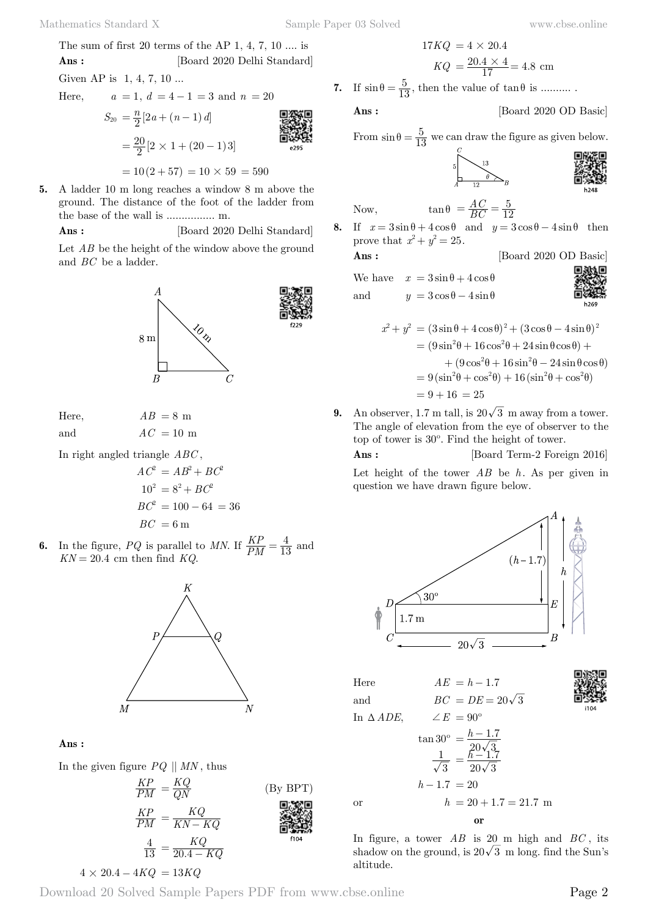The sum of first 20 terms of the AP 1, 4, 7, 10 
$$
\dots
$$
 is

**Ans :** [Board 2020 Delhi Standard] Given AP is 1, 4, 7, 10 ...

Here,  
\n
$$
a = 1, d = 4 - 1 = 3
$$
 and  $n = 20$   
\n
$$
S_{20} = \frac{n}{2} [2a + (n-1)d]
$$
\n
$$
= \frac{20}{2} [2 \times 1 + (20 - 1)3]
$$
\nAnswer 3.24

 $= 10(2 + 57) = 10 \times 59 = 590$ 

**5.** A ladder 10 m long reaches a window 8 m above the ground. The distance of the foot of the ladder from the base of the wall is ................ m.

**Ans :** [Board 2020 Delhi Standard]

Let *AB* be the height of the window above the ground and *BC* be a ladder.



Here,  $AB = 8$  m

and  $AC = 10$  m

In right angled triangle *ABC* ,

$$
AC2 = AB2 + BC2
$$

$$
102 = 82 + BC2
$$

$$
BC2 = 100 - 64 = 36
$$

$$
BC = 6 \text{ m}
$$

**6.** In the figure, *PQ* is parallel to *MN*. If  $\frac{KP}{PM}$  $=\frac{4}{13}$  and  $KN = 20.4$  cm then find  $KQ$ .



 **Ans :**

In the given figure  $PQ \parallel MN$ , thus



$$
4 \times 20.4 - 4KQ = 13KQ
$$

Download 20 Solved Sample Papers PDF from [www.cbse.online](http://www.cbse.online)

$$
17KQ = 4 \times 20.4
$$
  

$$
KQ = \frac{20.4 \times 4}{17} = 4.8
$$
 cm

**7.** If  $\sin \theta = \frac{5}{13}$ , then the value of  $\tan \theta$  is ..........

**Ans :** [Board 2020 OD Basic]

From 
$$
\sin \theta = \frac{5}{13}
$$
 we can draw the figure as given below.

12

$$
\sum_{B}
$$

Now, 
$$
\tan \theta = \frac{AC}{BC} = \frac{5}{12}
$$

**8.** If  $x = 3\sin\theta + 4\cos\theta$  and  $y = 3\cos\theta - 4\sin\theta$  then prove that  $x^2 + y^2 = 25$ .

**Ans :** [Board 2020 OD Basic]

We have  $x = 3\sin\theta + 4\cos\theta$ and  $y = 3\cos\theta - 4\sin\theta$ 



$$
x^{2} + y^{2} = (3\sin\theta + 4\cos\theta)^{2} + (3\cos\theta - 4\sin\theta)^{2}
$$
  
=  $(9\sin^{2}\theta + 16\cos^{2}\theta + 24\sin\theta\cos\theta) +$   
+  $(9\cos^{2}\theta + 16\sin^{2}\theta - 24\sin\theta\cos\theta)$   
=  $9(\sin^{2}\theta + \cos^{2}\theta) + 16(\sin^{2}\theta + \cos^{2}\theta)$   
=  $9 + 16 = 25$ 

**9.** An observer, 1.7 m tall, is  $20\sqrt{3}$  m away from a tower. The angle of elevation from the eye of observer to the top of tower is 30º. Find the height of tower. **Ans :** [Board Term-2 Foreign 2016]

Let height of the tower *AB* be *h*. As per given in question we have drawn figure below.



Here  $AE = h - 1.7$ 

In  $\iota$ 

and  $BC = DE = 20\sqrt{3}$ 

In 
$$
\triangle ADE
$$
,  $\angle E = 90^{\circ}$   
\n $\tan 30^{\circ} = \frac{h - 1.7}{20\sqrt{3}}$   
\n $\frac{1}{\sqrt{3}} = \frac{h - 1.7}{20\sqrt{3}}$   
\n $h - 1.7 = 20$   
\nor  $h = 20 + 1.7 = 21.7 \text{ m}$ 

In figure, a tower *AB* is 20 m high and *BC* , its shadow on the ground, is  $20\sqrt{3}$  m long. find the Sun's altitude.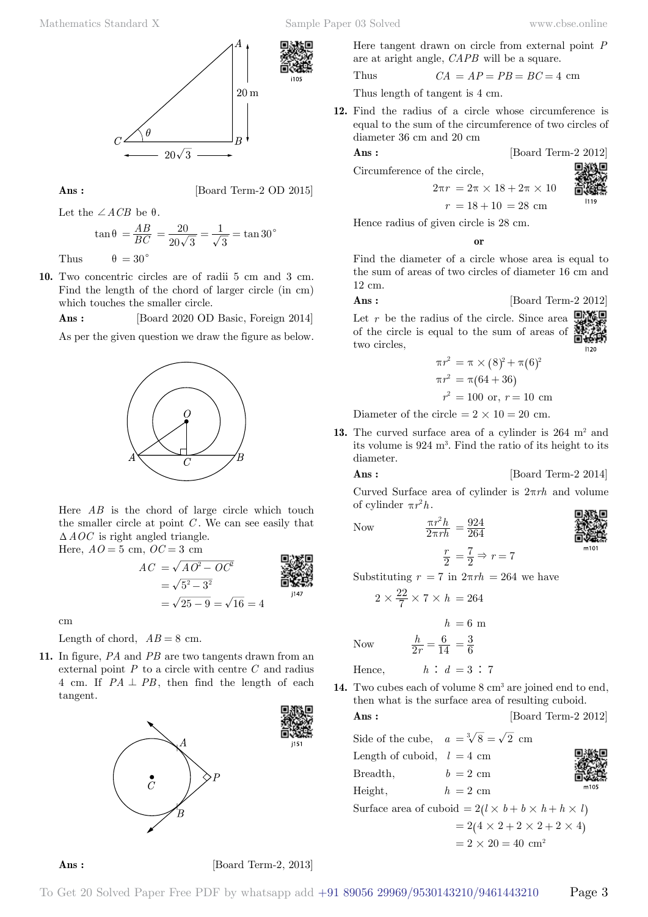



**Ans :** [Board Term-2 OD 2015]

Let the  $\angle ACB$  be  $\theta$ .

$$
\tan \theta = \frac{AB}{BC} = \frac{20}{20\sqrt{3}} = \frac{1}{\sqrt{3}} = \tan 30^{\circ}
$$

Thus  $\theta = 30^{\circ}$ 

**10.** Two concentric circles are of radii 5 cm and 3 cm. Find the length of the chord of larger circle (in cm) which touches the smaller circle.

 **Ans :** [Board 2020 OD Basic, Foreign 2014]





Here *AB* is the chord of large circle which touch the smaller circle at point *C* . We can see easily that  $\triangle AOC$  is right angled triangle. Here,  $AO = 5$  cm,  $OC = 3$  cm

$$
AC = \sqrt{AO^2 - OC^2}
$$
  
=  $\sqrt{5^2 - 3^2}$   
=  $\sqrt{25 - 9} = \sqrt{16} = 4$ 

cm

Length of chord,  $AB = 8$  cm.

**11.** In figure, *PA* and *PB* are two tangents drawn from an external point *P* to a circle with centre *C* and radius 4 cm. If  $PA \perp PB$ , then find the length of each tangent.



Here tangent drawn on circle from external point *P* are at aright angle, *CAPB* will be a square.

Thus 
$$
CA = AP = PB = BC = 4
$$
 cm

Thus length of tangent is 4 cm.

**12.** Find the radius of a circle whose circumference is equal to the sum of the circumference of two circles of diameter 36 cm and 20 cm

$$
Ans : \qquad \qquad [\text{Board Term-2 2012}]
$$

Circumference of the circle,

$$
2\pi \times 18 + 2\pi \times 10 \qquad \qquad \bullet
$$

$$
sr = 2\pi \times 18 + 2\pi \times 10
$$
 6.84

Hence radius of given circle is 28 cm.

 $2\pi r =$ 

 **o**

Find the diameter of a circle whose area is equal to the sum of areas of two circles of diameter 16 cm and 12 cm.

$$
Ans : \qquad \qquad [\text{Board Term-2 2012}]
$$

Let  $r$  be the radius of the circle. Since area of the circle is equal to the sum of areas of two circles,



$$
\pi r^2 = \pi \times (8)^2 + \pi (6)^2
$$
  
\n
$$
\pi r^2 = \pi (64 + 36)
$$
  
\n
$$
r^2 = 100 \text{ or, } r = 10 \text{ cm}
$$

Diameter of the circle  $= 2 \times 10 = 20$  cm.

13. The curved surface area of a cylinder is 264 m<sup>2</sup> and its volume is 924 m3 . Find the ratio of its height to its diameter.

 $=\frac{924}{264}$ 

**Ans :** [Board Term-2 2014]

Curved Surface area of cylinder is  $2\pi rh$  and volume of cylinder  $\pi r^2 h$ .

Now  $\frac{\pi r^2 h}{2\pi rh}$ 

Now



 $\frac{r}{2} = \frac{7}{2} \Rightarrow r = 7$ Substituting  $r = 7$  in  $2\pi rh = 264$  we have

$$
2 \times \frac{22}{7} \times 7 \times h = 264
$$

2 2  $\pi$  $\pi$ 

$$
h = 6
$$

$$
\frac{h}{2r} = \frac{6}{14} = \frac{3}{6}
$$

Hence,  $h : d = 3 : 7$ 

14. Two cubes each of volume 8 cm<sup>3</sup> are joined end to end, then what is the surface area of resulting cuboid.

*h* = 6 m

**Ans :** [Board Term-2 2012]

Side of the cube,  $a = \sqrt[3]{8} = \sqrt{2}$  cm Length of cuboid,  $l = 4$  cm Breadth,  $b = 2$  cm Height,  $h = 2 \text{ cm}$ Surface area of cuboid =  $2(l \times b + b \times h + h \times l)$  $= 2 (4 \times 2 + 2 \times 2 + 2 \times 4)$ 

$$
= 2 \times 20 = 40
$$
 cm<sup>2</sup>

**Ans :** [Board Term-2, 2013]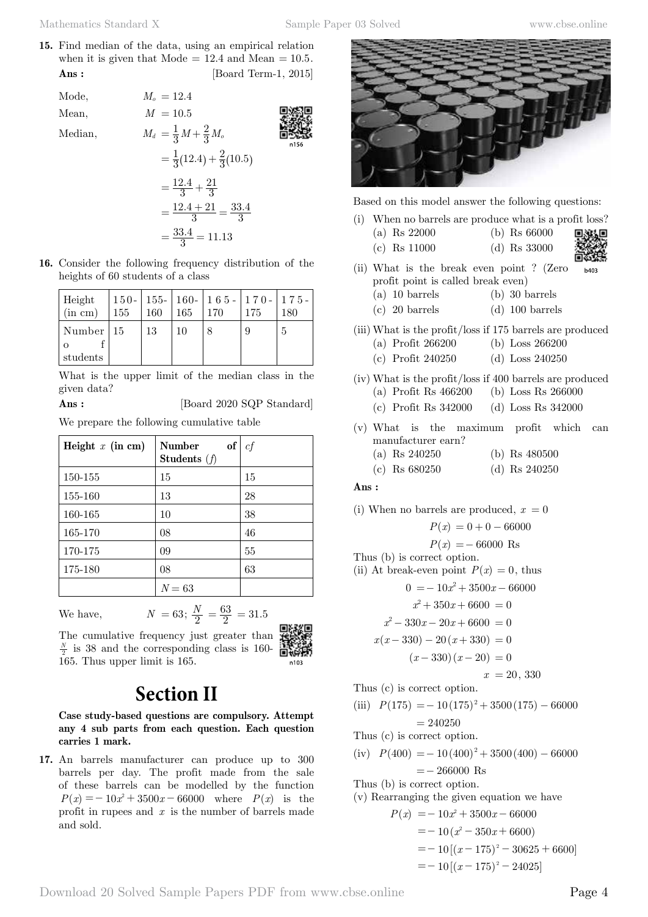**15.** Find median of the data, using an empirical relation when it is given that  $\text{Mode} = 12.4$  and  $\text{Mean} = 10.5$ . **Ans :** [Board Term-1, 2015]

Mode,  $M_0 = 12.4$ Mean,  $M = 10.5$ Median,  $M_d = \frac{1}{3}M + \frac{2}{3}M$  $=\frac{1}{3}M+\frac{2}{3}M_c$ 

$$
= \frac{1}{3}(12.4) + \frac{2}{3}(10.5)
$$

$$
= \frac{12.4}{3} + \frac{21}{3}
$$

$$
= \frac{12.4 + 21}{3} = \frac{33.4}{3}
$$

$$
= \frac{33.4}{3} = 11.13
$$

**16.** Consider the following frequency distribution of the heights of 60 students of a class

| Height<br>(in cm) | 155 | 160 | $\mid$ 165 | 150 -   155 -   160 -   165 -   170 -   175 -<br>170 | 175 | 180 |
|-------------------|-----|-----|------------|------------------------------------------------------|-----|-----|
| Number   $15$     |     | 13  | 10         |                                                      |     | 5   |
| students          |     |     |            |                                                      |     |     |

What is the upper limit of the median class in the given data?

**Ans :** [Board 2020 SQP Standard]

We prepare the following cumulative table

| Height $x$ (in cm) | of<br><b>Number</b><br>Students $(f)$ | сf |
|--------------------|---------------------------------------|----|
| 150-155            | 15                                    | 15 |
| 155-160            | 13                                    | 28 |
| 160-165            | 10                                    | 38 |
| 165-170            | 08                                    | 46 |
| 170-175            | 09                                    | 55 |
| 175-180            | 08                                    | 63 |
|                    | $N = 63$                              |    |

We have,  $N = 63; \frac{N}{2}$ 

 $\frac{N}{2} = \frac{63}{2} = 31.5$ The cumulative frequency just greater than  $\frac{N}{2}$  is 38 and the corresponding class is 160-165. Thus upper limit is 165.



# **Section II**

**Case study-based questions are compulsory. Attempt any 4 sub parts from each question. Each question carries 1 mark.**

**17.** An barrels manufacturer can produce up to 300 barrels per day. The profit made from the sale of these barrels can be modelled by the function  $P(x) = -10x^2 + 3500x - 66000$  where  $P(x)$  is the profit in rupees and *x* is the number of barrels made and sold.



Based on this model answer the following questions:

- (i) When no barrels are produce what is a profit loss?
	- (a) Rs 22000 (b) Rs 66000
	- (c) Rs 11000 (d) Rs 33000
- 
- (ii) What is the break even point ? (Zero b403 profit point is called break even)
	- (a) 10 barrels (b) 30 barrels
	- (c) 20 barrels (d) 100 barrels
- (iii) What is the profit/loss if 175 barrels are produced (a) Profit 266200 (b) Loss 266200
	- (c) Profit 240250 (d) Loss 240250
- (iv) What is the profit/loss if 400 barrels are produced (a) Profit Rs 466200 (b) Loss Rs 266000
	- (c) Profit Rs 342000 (d) Loss Rs 342000
- (v) What is the maximum profit which can manufacturer earn?
	- (a) Rs 240250 (b) Rs 480500
	- (c) Rs 680250 (d) Rs 240250

### **Ans :**

(i) When no barrels are produced,  $x = 0$ 

$$
P(x) = 0 + 0 - 66000
$$
  
\n
$$
P(x) = -66000 \text{ Rs}
$$
  
\nThus (b) is correct option.  
\n(ii) At break-even point  $P(x) = 0$ , thus  
\n
$$
0 = -10x^2 + 3500x - 66000
$$
  
\n
$$
x^2 + 350x + 6600 = 0
$$
  
\n
$$
x^2 - 330x - 20x + 6600 = 0
$$

$$
x(x - 330) - 20(x + 330) = 0
$$

$$
(x-330)(x-20) = 0
$$
  

$$
x = 20, 330
$$

Thus (c) is correct option.

(iii)  $P(175) = -10(175)^2 + 3500(175) - 66000$  $= 240250$ 

Thus (c) is correct option.

 $(iv) P(400) = -10(400)^{2} + 3500(400) - 66000$  $=- 266000$  Rs

Thus (b) is correct option.

(v) Rearranging the given equation we have

 $P(x) = -10x^2 + 3500x - 66000$  $=$   $-10(x<sup>2</sup> - 350x + 6600)$  $=$   $-10[(x-175)^{2} - 30625 + 6600]$  $=$   $-10[(x-175)^{2} - 24025]$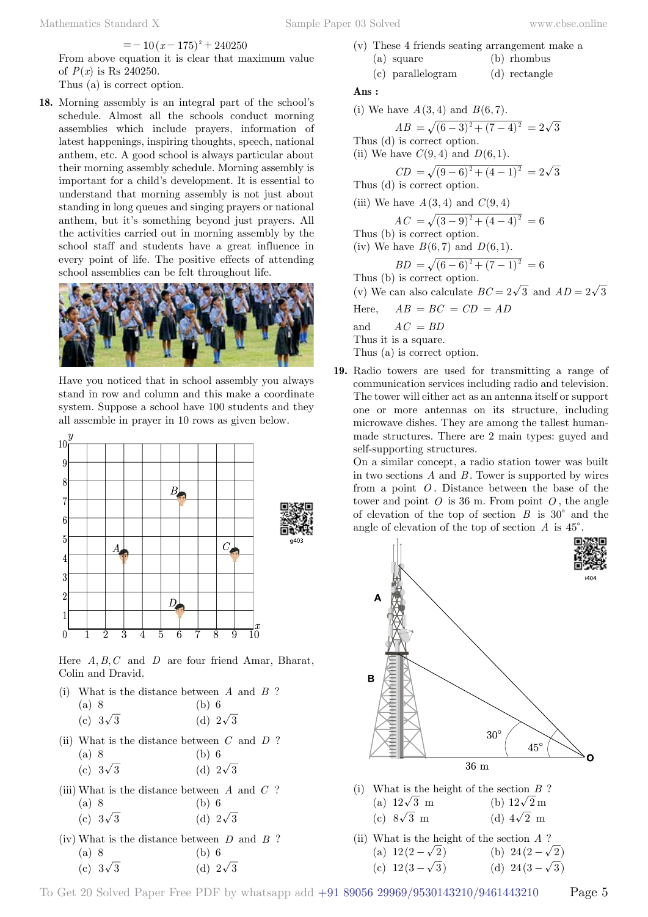$$
=-10(x-175)^{2}+240250
$$

From above equation it is clear that maximum value of  $P(x)$  is Rs 240250.

Thus (a) is correct option.

**18.** Morning assembly is an integral part of the school's schedule. Almost all the schools conduct morning assemblies which include prayers, information of latest happenings, inspiring thoughts, speech, national anthem, etc. A good school is always particular about their morning assembly schedule. Morning assembly is important for a child's development. It is essential to understand that morning assembly is not just about standing in long queues and singing prayers or national anthem, but it's something beyond just prayers. All the activities carried out in morning assembly by the school staff and students have a great influence in every point of life. The positive effects of attending school assemblies can be felt throughout life.



Have you noticed that in school assembly you always stand in row and column and this make a coordinate system. Suppose a school have 100 students and they all assemble in prayer in 10 rows as given below.



Here  $A, B, C$  and  $D$  are four friend Amar, Bharat, Colin and Dravid.

- (i) What is the distance between *A* and *B* ? (a) 8 (b) 6
	- (c)  $3\sqrt{3}$  (d)  $2\sqrt{3}$
- (ii) What is the distance between *C* and *D* ? (a) 8 (b) 6 (c)  $3\sqrt{3}$  (d)  $2\sqrt{3}$
- (iii) What is the distance between *A* and *C* ? (a) 8 (b) 6

$$
(c) 3\sqrt{3} \qquad (d) 2\sqrt{3}
$$

(iv) What is the distance between *D* and *B* ? (a) 8 (b) 6 (c)  $3\sqrt{3}$  (d)  $2\sqrt{3}$ 

- (v) These 4 friends seating arrangement make a (a) square (b) rhombus
- (c) parallelogram (d) rectangle

## **Ans :**

(i) We have 
$$
A(3, 4)
$$
 and  $B(6, 7)$ .  
\n $AB = \sqrt{(6-3)^2 + (7-4)^2} = 2\sqrt{3}$   
\nThus (d) is correct option.  
\n(ii) We have  $C(9, 4)$  and  $D(6, 1)$ .  
\n $CD = \sqrt{(9-6)^2 + (4-1)^2} = 2\sqrt{3}$   
\nThus (d) is correct option.  
\n(iii) We have  $A(3, 4)$  and  $C(9, 4)$   
\n $AC = \sqrt{(3-9)^2 + (4-4)^2} = 6$   
\nThus (b) is correct option.  
\n(iv) We have  $B(6, 7)$  and  $D(6, 1)$ .  
\n $BD = \sqrt{(6-6)^2 + (7-1)^2} = 6$   
\nThus (b) is correct option.  
\n(v) We have  $B(C-2, 2)$  and  $AD$ 

(v) We can also calculate  $BC = 2\sqrt{3}$  and  $AD = 2\sqrt{3}$ Here,  $AB = BC = CD = AD$ and  $AC = BD$ Thus it is a square.

Thus (a) is correct option.

**19.** Radio towers are used for transmitting a range of communication services including radio and television. The tower will either act as an antenna itself or support one or more antennas on its structure, including microwave dishes. They are among the tallest humanmade structures. There are 2 main types: guyed and self-supporting structures.

On a similar concept, a radio station tower was built in two sections *A* and *B* . Tower is supported by wires from a point *O* . Distance between the base of the tower and point  $\hat{O}$  is 36 m. From point  $\hat{O}$ , the angle of elevation of the top of section  $B$  is 30<sup>°</sup> and the angle of elevation of the top of section  $A$  is  $45^{\circ}$ .



- (i) What is the height of the section *B* ? (a)  $12\sqrt{3}$  m (b)  $12\sqrt{2}$  m (c)  $8\sqrt{3}$  m (d)  $4\sqrt{2}$  m
- (ii) What is the height of the section *A* ? (a)  $12(2-\sqrt{2})$  (b)  $24(2-\sqrt{2})$ (c)  $12(3-\sqrt{3})$  (d)  $24(3-\sqrt{3})$

To Get 20 Solved Paper Free PDF by whatsapp add +91 89056 29969/9530143210/9461443210 Page 5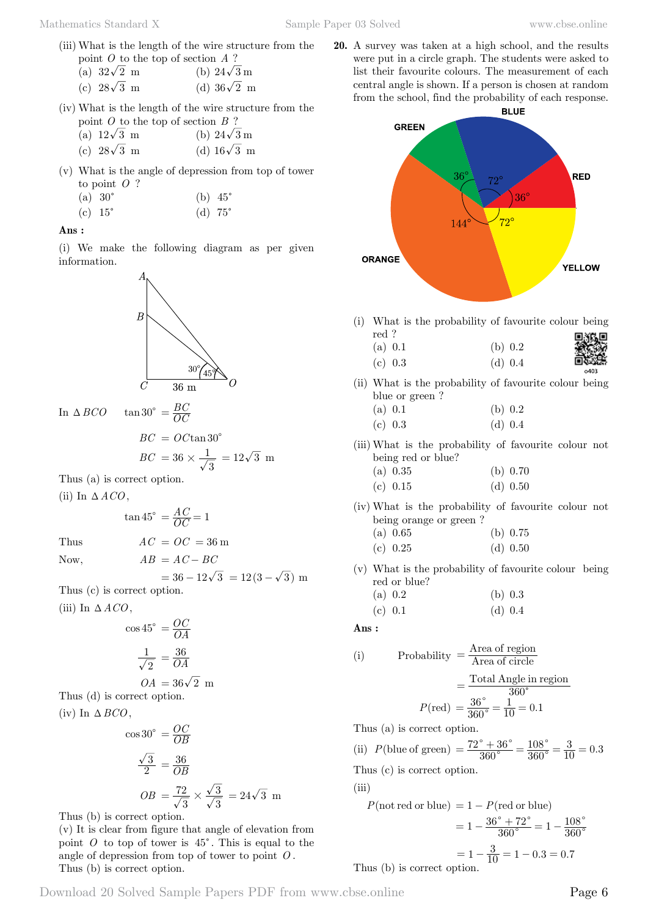(iii) What is the length of the wire structure from the point *O* to the top of section *A* ?

| (a) $32\sqrt{2}$ m | (b) $24\sqrt{3}$ m |
|--------------------|--------------------|
| (c) $28\sqrt{3}$ m | (d) $36\sqrt{2}$ m |

- (iv) What is the length of the wire structure from the point *O* to the top of section *B* ?
	- (a)  $12\sqrt{3}$  m (b)  $24\sqrt{3}$  m
	- (c)  $28\sqrt{3}$  m (d)  $16\sqrt{3}$  m
- (v) What is the angle of depression from top of tower to point *O* ?
	- (a)  $30^{\circ}$  (b)  $45^{\circ}$
	- (c)  $15^{\circ}$  (d)  $75^{\circ}$

### **Ans :**

(i) We make the following diagram as per given information.



In  $\triangle BCO$  tan 30° =  $\frac{BC}{OC}$ 

$$
BC = OC \tan 30^{\circ}
$$
  

$$
BC = 36 \times \frac{1}{\sqrt{3}} = 12\sqrt{3}
$$
 m

Thus (a) is correct option.

(ii) In  $\triangle ACO$ ,

$$
\tan 45^\circ = \frac{AC}{OC} = 1
$$

Thus  $AC = OC = 36$  m

Now, 
$$
AB = AC - BC
$$

 $= 36 - 12\sqrt{3} = 12(3 - \sqrt{3})$  m Thus (c) is correct option.

(iii) In  $\triangle ACO$ .

$$
\cos 45^\circ = \frac{OC}{OA}
$$

$$
\frac{1}{\sqrt{2}} = \frac{36}{OA}
$$

$$
OA = 36\sqrt{2} \text{ m}
$$

Thus (d) is correct option. (iv) In  $\triangle BCO$ ,

$$
\cos 30^\circ = \frac{OC}{OB}
$$
  

$$
\frac{\sqrt{3}}{2} = \frac{36}{OB}
$$
  

$$
OB = \frac{72}{\sqrt{3}} \times \frac{\sqrt{3}}{\sqrt{3}} = 24\sqrt{3}
$$
 m

Thus (b) is correct option.

(v) It is clear from figure that angle of elevation from point  $O$  to top of tower is  $45^\circ$ . This is equal to the angle of depression from top of tower to point *O* . Thus (b) is correct option.

**20.** A survey was taken at a high school, and the results were put in a circle graph. The students were asked to list their favourite colours. The measurement of each central angle is shown. If a person is chosen at random from the school, find the probability of each response.



(i) What is the probability of favourite colour being red ?

| .       |           |        |
|---------|-----------|--------|
| (a) 0.1 | (b) 0.2   | ▓      |
| (c) 0.3 | (d) $0.4$ |        |
|         |           | $-402$ |

(ii) What is the probability of favourite colour being blue or green ?

| (a) $0.1$ | (b) 0.2   |
|-----------|-----------|
| (c) $0.3$ | (d) $0.4$ |

- (iii) What is the probability of favourite colour not being red or blue?
	- (a) 0.35 (b) 0.70
	- (c) 0.15 (d) 0.50
- (iv) What is the probability of favourite colour not being orange or green ?
	- (a) 0.65 (b) 0.75 (c) 0.25 (d) 0.50
- (v) What is the probability of favourite colour being
	- red or blue? (a) 0.2 (b) 0.3 (c)  $0.1$  (d)  $0.4$

 **Ans :**

(i) Probability = 
$$
\frac{\text{Area of region}}{\text{Area of circle}}
$$

$$
= \frac{\text{Total Angle in region}}{360^{\circ}}
$$

$$
P(\text{red}) = \frac{36^{\circ}}{360^{\circ}} = \frac{1}{10} = 0.1
$$

Thus (a) is correct option.

(ii)  $P(\text{blue of green}) = \frac{72^{\circ} + 36^{\circ}}{360^{\circ}} = \frac{108^{\circ}}{360^{\circ}} = \frac{3}{10} = 0.$ 360 108  $\frac{10^{\circ} + 36^{\circ}}{360^{\circ}} = \frac{108^{\circ}}{360^{\circ}} = \frac{3}{10} = 0.3$  $=$  $\frac{72^{\circ}+36^{\circ}}{360^{\circ}} = \frac{108^{\circ}}{360^{\circ}} = \frac{3}{10} =$ Thus (c) is correct option.

 $(iii)$ 

$$
P(\text{not red or blue}) = 1 - P(\text{red or blue})
$$
  
=  $1 - \frac{36^{\circ} + 72^{\circ}}{360^{\circ}} = 1 - \frac{108^{\circ}}{360^{\circ}}$   
=  $1 - \frac{3}{10} = 1 - 0.3 = 0.7$   
Thus (b) is correct option.

Download 20 Solved Sample Papers PDF from [www.cbse.online](http://www.cbse.online) Page 6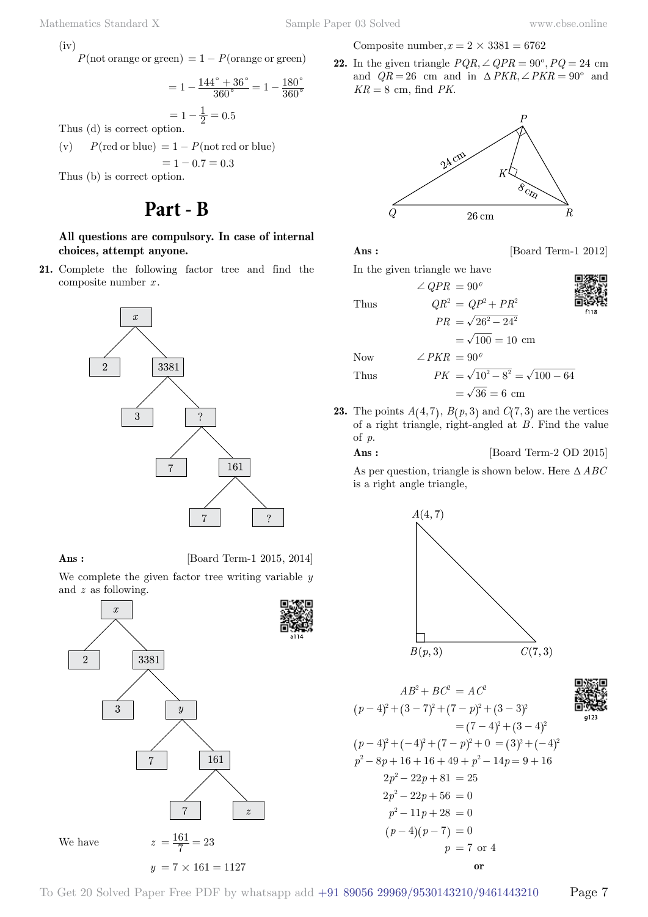$(iv)$ 

 $P(\text{not orange or green}) = 1 - P(\text{orange or green})$ 

$$
= 1 - \frac{144^{\circ} + 36^{\circ}}{360^{\circ}} = 1 - \frac{180^{\circ}}{360^{\circ}}
$$

$$
= 1 - \frac{1}{2} = 0.5
$$

Thus (d) is correct option.

(v)  $P(\text{red or blue}) = 1 - P(\text{not red or blue})$  $= 1 - 0.7 = 0.3$ Thus (b) is correct option.

## **Part - B**

**All questions are compulsory. In case of internal choices, attempt anyone.**

**21.** Complete the following factor tree and find the composite number *x* .



**Ans :** [Board Term-1 2015, 2014]

We complete the given factor tree writing variable *y* and *z* as following.



Composite number,  $x = 2 \times 3381 = 6762$ 

**22.** In the given triangle  $PQR \angle QPR = 90^{\circ}, PQ = 24$  cm and  $QR = 26$  cm and in  $\triangle PKR$ ,  $\angle PKR = 90^{\circ}$  and  $KR = 8$  cm, find *PK*.



**Ans :** [Board Term-1 2012]

In the given triangle we have

 $\angle$  *QPR* = 90<sup>*0*</sup>

$$
\hbox{Thus }
$$

 $=\sqrt{100} = 10$  cm

 $QR^{2} = QP^{2} + PR^{2}$  $PR = \sqrt{26^2 - 24^2}$ 

Now  $\angle PKR = 90^\circ$ 

Thus 
$$
PK = \sqrt{10^2 - 8^2} = \sqrt{100 - 64}
$$

$$
=\sqrt{36}=6\ \mathrm{cm}
$$

**23.** The points  $A(4, 7)$ ,  $B(p, 3)$  and  $C(7, 3)$  are the vertices of a right triangle, right-angled at  $B$ . Find the value of *p*.

**Ans :** [Board Term-2 OD 2015]

As per question, triangle is shown below. Here  $\triangle ABC$ is a right angle triangle,





$$
AB^{2} + BC^{2} = AC^{2}
$$
  
\n
$$
(p - 4)^{2} + (3 - 7)^{2} + (7 - p)^{2} + (3 - 3)^{2}
$$
  
\n
$$
= (7 - 4)^{2} + (3 - 4)^{2}
$$
  
\n
$$
(p - 4)^{2} + (-4)^{2} + (7 - p)^{2} + 0 = (3)^{2} + (-4)^{2}
$$
  
\n
$$
p^{2} - 8p + 16 + 16 + 49 + p^{2} - 14p = 9 + 16
$$
  
\n
$$
2p^{2} - 22p + 81 = 25
$$
  
\n
$$
2p^{2} - 22p + 56 = 0
$$
  
\n
$$
p^{2} - 11p + 28 = 0
$$
  
\n
$$
(p - 4)(p - 7) = 0
$$
  
\n
$$
p = 7 \text{ or } 4
$$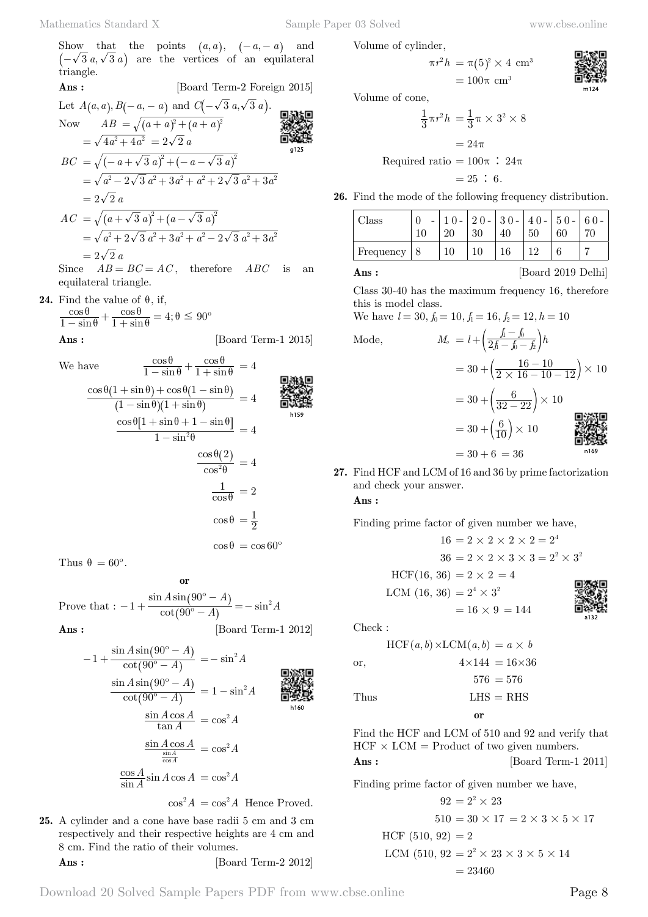Show that the points  $(a, a), \quad (-a, -a)$  and  $\left(-\sqrt{3} a, \sqrt{3} a\right)$  are the vertices of an equilateral triangle.

Ans: [Board Term-2 Foreign 2015]  
\nLet 
$$
A(a, a), B(-a, -a)
$$
 and  $C(-\sqrt{3} a, \sqrt{3} a)$ .  
\nNow  $AB = \sqrt{(a + a)^2 + (a + a)^2}$   
\n $= \sqrt{4a^2 + 4a^2} = 2\sqrt{2} a$   
\n $BC = \sqrt{(-a + \sqrt{3} a)^2 + (-a - \sqrt{3} a)^2}$   
\n $= \sqrt{a^2 - 2\sqrt{3} a^2 + 3a^2 + a^2 + 2\sqrt{3} a^2 + 3a^2}$   
\n $= 2\sqrt{2} a$   
\n $AC = \sqrt{(a + \sqrt{3} a)^2 + (a - \sqrt{3} a)^2}$   
\n $= \sqrt{a^2 + 2\sqrt{3} a^2 + 3a^2 + a^2 - 2\sqrt{3} a^2 + 3a^2}$   
\n $= 2\sqrt{2} a$   
\n $BC = 2a$   
\n $BC = 4B$ 

Since  $AB = BC = AC$ , therefore  $ABC$  is an equilateral triangle.

**24.** Find the value of  $\theta$ , if,

$$
\frac{\cos\theta}{1-\sin\theta} + \frac{\cos\theta}{1+\sin\theta} = 4; \theta \le 90^{\circ}
$$

**Ans :** [Board Term-1 2015]

We have  
\n
$$
\frac{\cos \theta}{1 - \sin \theta} + \frac{\cos \theta}{1 + \sin \theta} = 4
$$
\n
$$
\frac{\cos \theta (1 + \sin \theta) + \cos \theta (1 - \sin \theta)}{(1 - \sin \theta)(1 + \sin \theta)} = 4
$$
\n
$$
\frac{\cos \theta [1 + \sin \theta + 1 - \sin \theta]}{1 - \sin^2 \theta} = 4
$$
\n
$$
\frac{\cos \theta (2)}{\cos^2 \theta} = 4
$$
\n
$$
\frac{1}{\cos \theta} = 2
$$
\n
$$
\cos \theta = \frac{1}{2}
$$
\n
$$
\cos \theta = \cos 60^\circ
$$

Thus  $\theta = 60^\circ$ .

 **o** Prove that  $: -1 + \frac{\cosh 2\theta}{\cosh 2\theta}$  $1 + \frac{\sin A \sin(90^\circ - A)}{\cot(90^\circ - A)} = -\sin^2 A$  $-1 + \frac{\sin A \sin(90^\circ - A)}{\cot(90^\circ - A)} = -\sin^2$  $\left( \right)$  $\left( \right)$ 

**Ans :** [Board Term-1 2012]

$$
-1 + \frac{\sin A \sin (90^\circ - A)}{\cot (90^\circ - A)} = -\sin^2 A
$$
  

$$
\frac{\sin A \sin (90^\circ - A)}{\cot (90^\circ - A)} = 1 - \sin^2 A
$$
  

$$
\frac{\sin A \cos A}{\tan A} = \cos^2 A
$$
  

$$
\frac{\sin A \cos A}{\frac{\sin A}{\cos A}} = \cos^2 A
$$
  

$$
\frac{\cos A}{\sin A} \sin A \cos A = \cos^2 A
$$

 $\cos^2 A = \cos^2 A$  Hence Proved.

**25.** A cylinder and a cone have base radii 5 cm and 3 cm respectively and their respective heights are 4 cm and 8 cm. Find the ratio of their volumes. **Ans :** [Board Term-2 2012] Volume of cylinder,

$$
\pi r^2 h = \pi (5)^2 \times 4 \text{ cm}^3
$$
  
= 100 $\pi$  cm<sup>3</sup>

Volume of cone,

$$
\frac{1}{3}\pi r^2 h = \frac{1}{3}\pi \times 3^2 \times 8
$$

$$
= 24\pi
$$
  
Required ratio = 100 $\pi$  : 24 $\pi$ 
$$
= 25 : 6.
$$

 $= 100\pi$  cm<sup>3</sup>

**26.** Find the mode of the following frequency distribution.

| Class     | 20 | $20 -$<br>30 | $\vert 30 -$ | $ 40 - 50 -$<br>50 | 60 | $\vert 60 -$ |
|-----------|----|--------------|--------------|--------------------|----|--------------|
| Frequency | 10 |              |              |                    |    |              |

**Ans :** [Board 2019 Delhi]

Class 30-40 has the maximum frequency 16, therefore this is model class.

We have  $l = 30, f_0 = 10, f_1 = 16, f_2 = 12, h = 10$ 

Mode, 
$$
M_o = l + \left(\frac{f_i - f_b}{2f_i - f_b - f_b}\right)h
$$

$$
= 30 + \left(\frac{16 - 10}{2 \times 16 - 10 - 12}\right) \times 10
$$

$$
= 30 + \left(\frac{6}{32 - 22}\right) \times 10
$$

$$
= 30 + \left(\frac{6}{10}\right) \times 10
$$

**27.** Find HCF and LCM of 16 and 36 by prime factorization and check your answer.

 $= 30 + 6 = 36$ 

 **Ans :**

Finding prime factor of given number we have,

$$
16 = 2 \times 2 \times 2 \times 2 = 2^{4}
$$
  
\n
$$
36 = 2 \times 2 \times 3 \times 3 = 2^{2} \times 3^{2}
$$
  
\nHCF(16, 36) = 2 × 2 = 4  
\nLCM (16, 36) = 2<sup>4</sup> × 3<sup>2</sup>  
\n= 16 × 9 = 144  
\nCheck :  
\nHCF(a, b) × LCM(a, b) = a × b

 $C<sub>l</sub>$ 

$$
HCF(a, b) \times LCM(a, b) = a \times b
$$
  
or,  

$$
4 \times 144 = 16 \times 36
$$

$$
576 = 576
$$
Thus  

$$
LHS = RHS
$$
  
or

Find the HCF and LCM of 510 and 92 and verify that  $HCF \times LCM =$  Product of two given numbers.

$$
Ans : \qquad \qquad [\text{Board Term-1 2011}]
$$

Finding prime factor of given number we have,

$$
92 = 2^2 \times 23
$$
  
\n
$$
510 = 30 \times 17 = 2 \times 3 \times 5 \times 17
$$
  
\nHCF (510, 92) = 2  
\nLCM (510, 92 = 2<sup>2</sup> × 23 × 3 × 5 × 14  
\n= 23460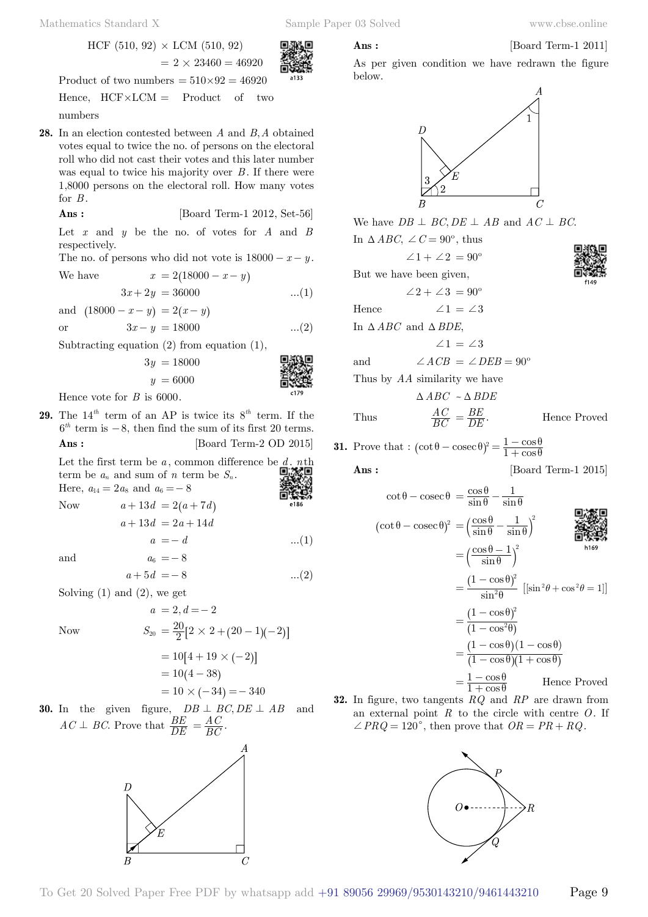$$
Ans : \qquad \qquad [\text{Board Term-1 2011}]
$$

HCF  $(510, 92) \times LCM (510, 92)$  $= 2 \times 23460 = 46920$ 

Product of two numbers  $= 510 \times 92 = 46920$ Hence,  $HCF \times LCM =$  Product of two numbers

**28.** In an election contested between *A* and *B A*, obtained votes equal to twice the no. of persons on the electoral roll who did not cast their votes and this later number was equal to twice his majority over  $B$ . If there were 1,8000 persons on the electoral roll. How many votes for *B* .

 **Ans :** [Board Term-1 2012, Set-56]

Let  $x$  and  $y$  be the no. of votes for  $A$  and  $B$ respectively.

The no. of persons who did not vote is  $18000 - x - y$ .

We have 
$$
x = 2(18000 - x - y)
$$
  
 $3x + 2y = 36000$  ...(1)

and  $( 18000 - x - y ) = 2(x - y)$ or  $3x - y = 18000$  ...(2)

Subtracting equation (2) from equation (1),

$$
3y = 18000
$$
\n
$$
y = 6000
$$
\n
$$
3y = 18000
$$
\n
$$
3y = 6000
$$
\n
$$
3y = 18000
$$
\n
$$
3y = 6000
$$
\n
$$
3y = 6000
$$
\n
$$
3y = 18000
$$
\n
$$
3y = 18000
$$
\n
$$
3y = 18000
$$

Hence vote for *B* is 6000.

**29.** The  $14^{th}$  term of an AP is twice its  $8^{th}$  term. If the  $6<sup>th</sup>$  term is  $-8$ , then find the sum of its first 20 terms. **Ans :** [Board Term-2 OD 2015]

Let the first term be  $a$ , common difference be  $d$ ,  $n$ th term be  $a_n$  and sum of *n* term be  $S_n$ . Here,  $a_{14} = 2 a_8$  and  $a_6 = -8$ Now  $a + 13d = 2(a + 7d)$  $a + 13d = 2a + 14d$  $a = -d$  ...(1) and  $a_6 = -8$  $a + 5d = -8$  ...(2)

 $a = 2, d = -2$ 

Solving  $(1)$  and  $(2)$ , we get

Now 
$$
S_{20} = \frac{20}{2} [2 \times 2 + (20 - 1)(-2)]
$$

$$
= 10[4 + 19 \times (-2)]
$$

$$
= 10(4 - 38)
$$

$$
= 10 \times (-34) = -340
$$

**30.** In the given figure,  $DB \perp BC$ ,  $DE \perp AB$  and  $AC \perp BC$ . Prove that  $\frac{BE}{DE}$  $=\frac{AC}{BC}$ .





As per given condition we have redrawn the figure below.



| f<br>49 |
|---------|



But we have been given,

 $\angle 2 + \angle 3 = 90^\circ$ 

Hence  $\angle 1 = \angle 3$ 

In  $\triangle ABC$  and  $\triangle BDE$ ,

$$
\angle 1 = \angle 3
$$

and 
$$
\angle ACB = \angle DEB = 90^{\circ}
$$

Thus by *AA* similarity we have

$$
\Delta ABC \sim \Delta BDE
$$
  
Thus 
$$
\frac{AC}{BC} = \frac{BE}{DE}.
$$

$$
= \frac{BE}{DE}.
$$
 Hence Proved

**31.** Prove that : 
$$
(\cot \theta - \csc \theta)^2 = \frac{1 - \cos \theta}{1 + \cos \theta}
$$

**Ans :** [Board Term-1 2015]

$$
\cot \theta - \csc \theta = \frac{\cos \theta}{\sin \theta} - \frac{1}{\sin \theta}
$$
  
\n
$$
(\cot \theta - \csc \theta)^2 = \left(\frac{\cos \theta}{\sin \theta} - \frac{1}{\sin \theta}\right)^2
$$
  
\n
$$
= \left(\frac{\cos \theta - 1}{\sin \theta}\right)^2
$$
  
\n
$$
= \frac{(1 - \cos \theta)^2}{\sin^2 \theta} \left[\sin^2 \theta + \cos^2 \theta = 1\right]
$$
  
\n
$$
= \frac{(1 - \cos \theta)^2}{(1 - \cos^2 \theta)}
$$
  
\n
$$
= \frac{(1 - \cos \theta)(1 - \cos \theta)}{(1 - \cos \theta)(1 + \cos \theta)}
$$
  
\n
$$
= \frac{1 - \cos \theta}{1 + \cos \theta} \qquad \text{Hence Proved}
$$

**32.** In figure, two tangents *RQ* and *RP* are drawn from an external point *R* to the circle with centre *O*. If  $\angle PRQ = 120^{\circ}$ , then prove that  $OR = PR + RQ$ .

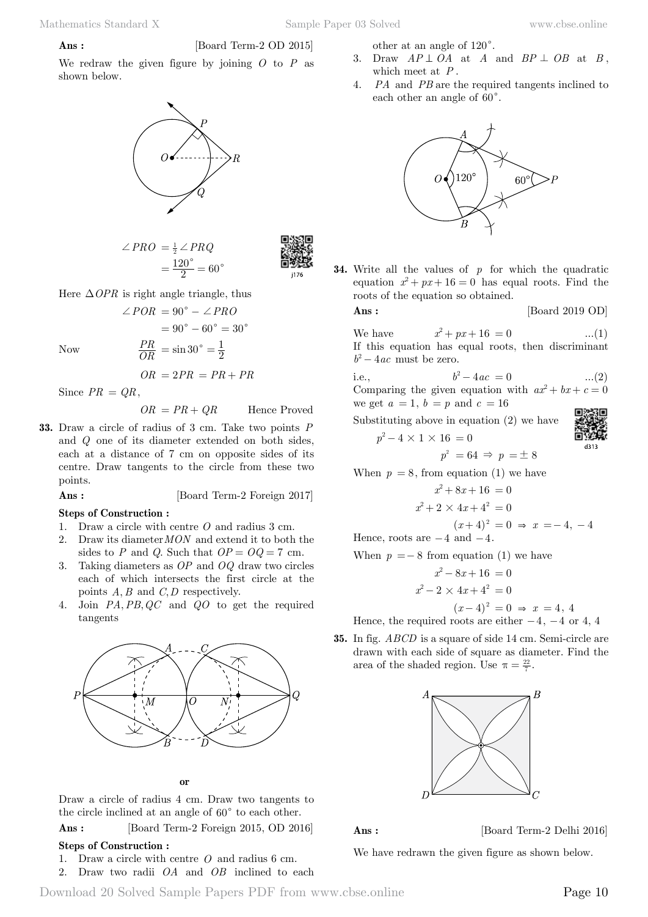## **Ans :** [Board Term-2 OD 2015]

We redraw the given figure by joining *O* to *P* as shown below.



$$
\angle PRO = \frac{1}{2} \angle PRQ
$$

$$
= \frac{120^{\circ}}{2} = 60^{\circ}
$$



Here  $\triangle$ *OPR* is right angle triangle, thus

$$
\angle POR = 90^{\circ} - \angle PRO
$$

$$
= 90^{\circ} - 60^{\circ} = 30^{\circ}
$$
Now
$$
\frac{PR}{OR} = \sin 30^{\circ} = \frac{1}{2}
$$

 $Now$ 

$$
OR = 2PR = PR + PR
$$

Since  $PR = QR$ ,

$$
OR = PR + QR
$$
 Hence Proved

**33.** Draw a circle of radius of 3 cm. Take two points *P* and *Q* one of its diameter extended on both sides, each at a distance of 7 cm on opposite sides of its centre. Draw tangents to the circle from these two points.

### **Ans :** [Board Term-2 Foreign 2017]

### **Steps of Construction :**

- 1. Draw a circle with centre *O* and radius 3 cm.
- 2. Draw its diameter*MON* and extend it to both the sides to *P* and *Q*. Such that  $OP = OQ = 7$  cm.
- 3. Taking diameters as *OP* and *OQ* draw two circles each of which intersects the first circle at the points  $A, B$  and  $C, D$  respectively.
- 4. Join *PA*, *PB*, *QC* and *QO* to get the required tangents



### **o**

Draw a circle of radius 4 cm. Draw two tangents to the circle inclined at an angle of  $60^{\circ}$  to each other.

 **Ans :** [Board Term-2 Foreign 2015, OD 2016]

### **Steps of Construction :**

- 1. Draw a circle with centre *O* and radius 6 cm.
- 2. Draw two radii *OA* and *OB* inclined to each

other at an angle of  $120^\circ$ .

- 3. Draw  $AP \perp OA$  at *A* and  $BP \perp OB$  at *B*, which meet at *P* .
- 4. *PA* and *PB* are the required tangents inclined to each other an angle of  $60^\circ$ .



**34.** Write all the values of *p* for which the quadratic equation  $x^2 + px + 16 = 0$  has equal roots. Find the roots of the equation so obtained.

**Ans :** [Board 2019 OD]

We have  $x^2 + px + 16 = 0$  ...(1) If this equation has equal roots, then discriminant  $b^2 - 4ac$  must be zero.

i.e., 
$$
b^2-4ac = 0
$$
 ...(2)  
Comparing the given equation with  $ax^2 + bx + c = 0$ 

we get 
$$
a = 1
$$
,  $b = p$  and  $c = 16$ 

Substituting above in equation (2) we have

$$
p^2 - 4 \times 1 \times 16 = 0
$$
  

$$
p^2 = 64 \Rightarrow p =
$$

When  $p = 8$ , from equation (1) we have

$$
x^{2} + 8x + 16 = 0
$$
  

$$
x^{2} + 2 \times 4x + 4^{2} = 0
$$
  

$$
(x+4)^{2} = 0 \Rightarrow x = -4, -4
$$

 $\pm$  8

Hence, roots are  $-4$  and  $-4$ .

When  $p = -8$  from equation (1) we have

$$
x2-8x+16 = 0
$$

$$
x2-2 \times 4x+42 = 0
$$

 $(x-4)^2 = 0 \Rightarrow x = 4, 4$ 

Hence, the required roots are either  $-4$ ,  $-4$  or 4, 4

**35.** In fig. *ABCD* is a square of side 14 cm. Semi-circle are drawn with each side of square as diameter. Find the area of the shaded region. Use  $\pi = \frac{22}{7}$ .



**Ans :** [Board Term-2 Delhi 2016]

We have redrawn the given figure as shown below.